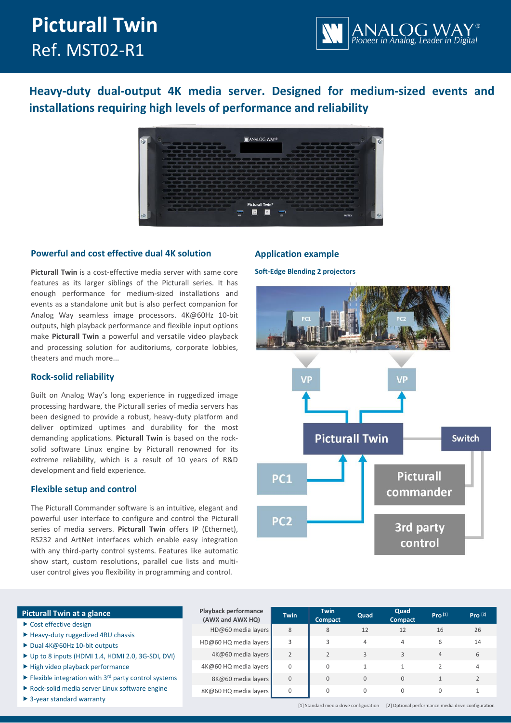# **Picturall Twin** Ref. MST02-R1



**Heavy-duty dual-output 4K media server. Designed for medium-sized events and installations requiring high levels of performance and reliability**



# **Powerful and cost effective dual 4K solution**

**Picturall Twin** is a cost-effective media server with same core features as its larger siblings of the Picturall series. It has enough performance for medium-sized installations and events as a standalone unit but is also perfect companion for Analog Way seamless image processors. 4K@60Hz 10-bit outputs, high playback performance and flexible input options make **Picturall Twin** a powerful and versatile video playback and processing solution for auditoriums, corporate lobbies, theaters and much more...

# **Rock-solid reliability**

Built on Analog Way's long experience in ruggedized image processing hardware, the Picturall series of media servers has been designed to provide a robust, heavy-duty platform and deliver optimized uptimes and durability for the most demanding applications. **Picturall Twin** is based on the rocksolid software Linux engine by Picturall renowned for its extreme reliability, which is a result of 10 years of R&D development and field experience.

# **Flexible setup and control**

The Picturall Commander software is an intuitive, elegant and powerful user interface to configure and control the Picturall series of media servers. **Picturall Twin** offers IP (Ethernet), RS232 and ArtNet interfaces which enable easy integration with any third-party control systems. Features like automatic show start, custom resolutions, parallel cue lists and multiuser control gives you flexibility in programming and control.

# **Application example**

**Soft-Edge Blending 2 projectors** 



| <b>Picturall Twin at a glance</b>                                                     | <b>Playback performance</b><br>(AWX and AWX HQ) | <b>Twin</b> | <b>Twin</b>         | Quad | Quad                 | Pro <sup>[1]</sup> | Pro <sup>[2]</sup> |
|---------------------------------------------------------------------------------------|-------------------------------------------------|-------------|---------------------|------|----------------------|--------------------|--------------------|
| $\triangleright$ Cost effective design                                                | HD@60 media layers                              | 8           | <b>Compact</b><br>8 | 12   | <b>Compact</b><br>12 | 16                 | 26                 |
| Heavy-duty ruggedized 4RU chassis                                                     |                                                 |             |                     |      |                      |                    |                    |
| ▶ Dual 4K@60Hz 10-bit outputs                                                         | HD@60 HQ media layers                           |             |                     | 4    | 4                    | 6                  | 14                 |
| ▶ Up to 8 inputs (HDMI 1.4, HDMI 2.0, 3G-SDI, DVI)                                    | 4K@60 media layers                              |             |                     |      | 3                    | $\overline{4}$     | 6                  |
| High video playback performance                                                       | 4K@60 HQ media layers                           | 0           | $\Omega$            |      |                      |                    | 4                  |
| $\blacktriangleright$ Flexible integration with 3 <sup>rd</sup> party control systems | 8K@60 media layers                              | $\Omega$    | $\Omega$            | 0    | $\mathbf{0}$         |                    |                    |
| ▶ Rock-solid media server Linux software engine                                       | 8K@60 HQ media layers                           | $\Omega$    | $\Omega$            | 0    | 0                    | $\Omega$           |                    |
| $\triangleright$ 3-year standard warranty                                             |                                                 |             |                     |      |                      |                    |                    |

[1] Standard media drive configuration [2] Optional performance media drive configuration